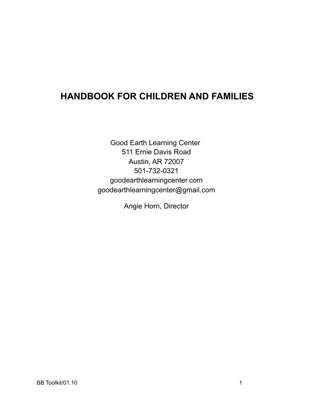# **HANDBOOK FOR CHILDREN AND FAMILIES**

Good Earth Learning Center 511 Ernie Davis Road Austin, AR 72007 501-732-0321 goodearthlearningcenter.com goodearthlearningcenter@gmail.com

Angie Horn, Director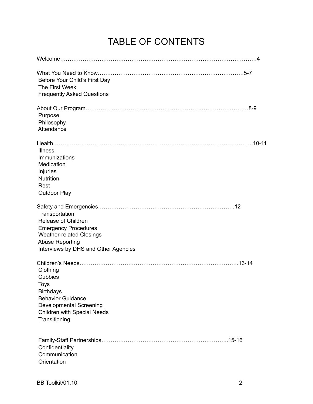# TABLE OF CONTENTS

| Before Your Child's First Day<br>The First Week<br><b>Frequently Asked Questions</b>                                                                                             |  |
|----------------------------------------------------------------------------------------------------------------------------------------------------------------------------------|--|
| Purpose<br>Philosophy<br>Attendance                                                                                                                                              |  |
| <b>Illness</b><br>Immunizations<br>Medication<br>Injuries<br>Nutrition<br>Rest<br><b>Outdoor Play</b>                                                                            |  |
| Transportation<br><b>Release of Children</b><br><b>Emergency Procedures</b><br><b>Weather-related Closings</b><br><b>Abuse Reporting</b><br>Interviews by DHS and Other Agencies |  |
| Clothing<br>Cubbies<br>Toys<br><b>Birthdays</b><br><b>Behavior Guidance</b><br><b>Developmental Screening</b><br><b>Children with Special Needs</b><br>Transitioning             |  |
| Confidentiality<br>Communication<br>Orientation                                                                                                                                  |  |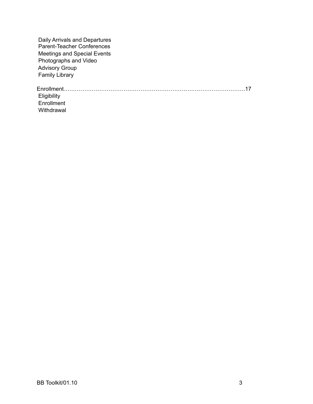Daily Arrivals and Departures Parent-Teacher Conferences Meetings and Special Events Photographs and Video Advisory Group Family Library

Enrollment…………………………………………………………………………………….17 **Eligibility**  Enrollment Withdrawal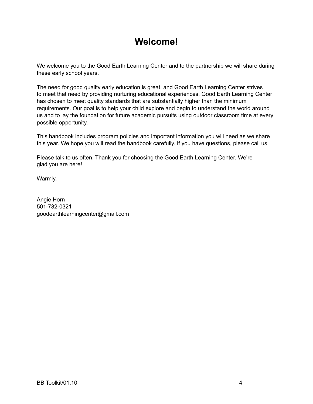# **Welcome!**

We welcome you to the Good Earth Learning Center and to the partnership we will share during these early school years.

The need for good quality early education is great, and Good Earth Learning Center strives to meet that need by providing nurturing educational experiences. Good Earth Learning Center has chosen to meet quality standards that are substantially higher than the minimum requirements. Our goal is to help your child explore and begin to understand the world around us and to lay the foundation for future academic pursuits using outdoor classroom time at every possible opportunity.

This handbook includes program policies and important information you will need as we share this year. We hope you will read the handbook carefully. If you have questions, please call us.

Please talk to us often. Thank you for choosing the Good Earth Learning Center. We're glad you are here!

Warmly,

Angie Horn 501-732-0321 goodearthlearningcenter@gmail.com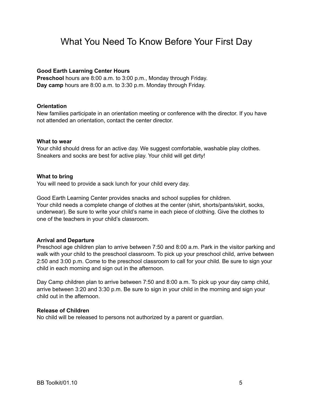# What You Need To Know Before Your First Day

### **Good Earth Learning Center Hours**

**Preschool** hours are 8:00 a.m. to 3:00 p.m., Monday through Friday. **Day camp** hours are 8:00 a.m. to 3:30 p.m. Monday through Friday.

#### **Orientation**

New families participate in an orientation meeting or conference with the director. If you have not attended an orientation, contact the center director.

#### **What to wear**

Your child should dress for an active day. We suggest comfortable, washable play clothes. Sneakers and socks are best for active play. Your child will get dirty!

#### **What to bring**

You will need to provide a sack lunch for your child every day.

Good Earth Learning Center provides snacks and school supplies for children. Your child needs a complete change of clothes at the center (shirt, shorts/pants/skirt, socks, underwear). Be sure to write your child's name in each piece of clothing. Give the clothes to one of the teachers in your child's classroom.

# **Arrival and Departure**

Preschool age children plan to arrive between 7:50 and 8:00 a.m. Park in the visitor parking and walk with your child to the preschool classroom. To pick up your preschool child, arrive between 2:50 and 3:00 p.m. Come to the preschool classroom to call for your child. Be sure to sign your child in each morning and sign out in the afternoon.

Day Camp children plan to arrive between 7:50 and 8:00 a.m. To pick up your day camp child, arrive between 3:20 and 3:30 p.m. Be sure to sign in your child in the morning and sign your child out in the afternoon.

#### **Release of Children**

No child will be released to persons not authorized by a parent or guardian.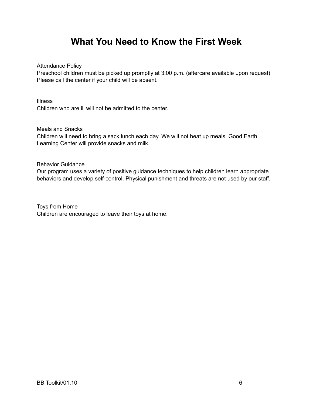# **What You Need to Know the First Week**

Attendance Policy

Preschool children must be picked up promptly at 3:00 p.m. (aftercare available upon request) Please call the center if your child will be absent.

Illness

Children who are ill will not be admitted to the center.

Meals and Snacks

Children will need to bring a sack lunch each day. We will not heat up meals. Good Earth Learning Center will provide snacks and milk.

Behavior Guidance

Our program uses a variety of positive guidance techniques to help children learn appropriate behaviors and develop self-control. Physical punishment and threats are not used by our staff.

Toys from Home Children are encouraged to leave their toys at home.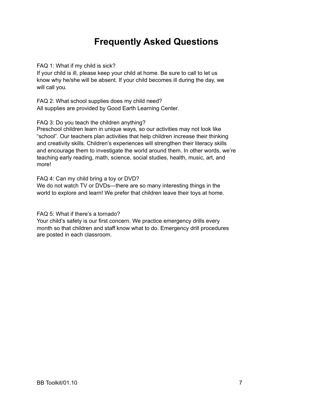# **Frequently Asked Questions**

FAQ 1: What if my child is sick?

If your child is ill, please keep your child at home. Be sure to call to let us know why he/she will be absent. If your child becomes ill during the day, we will call you.

FAQ 2: What school supplies does my child need? All supplies are provided by Good Earth Learning Center.

FAQ 3: Do you teach the children anything?

Preschool children learn in unique ways, so our activities may not look like "school". Our teachers plan activities that help children increase their thinking and creativity skills. Children's experiences will strengthen their literacy skills and encourage them to investigate the world around them. In other words, we're teaching early reading, math, science, social studies, health, music, art, and more!

FAQ 4: Can my child bring a toy or DVD?

We do not watch TV or DVDs—there are so many interesting things in the world to explore and learn! We prefer that children leave their toys at home.

FAQ 5: What if there's a tornado?

Your child's safety is our first concern. We practice emergency drills every month so that children and staff know what to do. Emergency drill procedures are posted in each classroom.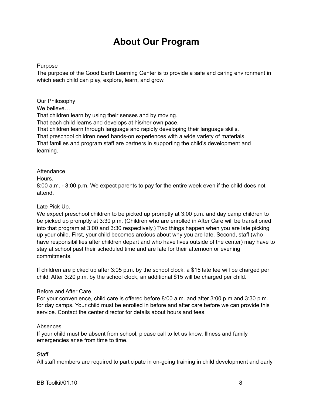# **About Our Program**

# Purpose

The purpose of the Good Earth Learning Center is to provide a safe and caring environment in which each child can play, explore, learn, and grow.

Our Philosophy We believe... That children learn by using their senses and by moving. That each child learns and develops at his/her own pace. That children learn through language and rapidly developing their language skills. That preschool children need hands-on experiences with a wide variety of materials. That families and program staff are partners in supporting the child's development and learning.

# **Attendance**

# Hours.

8:00 a.m. - 3:00 p.m. We expect parents to pay for the entire week even if the child does not attend.

# Late Pick Up.

We expect preschool children to be picked up promptly at 3:00 p.m. and day camp children to be picked up promptly at 3:30 p.m. (Children who are enrolled in After Care will be transitioned into that program at 3:00 and 3:30 respectively.) Two things happen when you are late picking up your child. First, your child becomes anxious about why you are late. Second, staff (who have responsibilities after children depart and who have lives outside of the center) may have to stay at school past their scheduled time and are late for their afternoon or evening commitments.

If children are picked up after 3:05 p.m. by the school clock, a \$15 late fee will be charged per child. After 3:20 p.m. by the school clock, an additional \$15 will be charged per child.

# Before and After Care.

For your convenience, child care is offered before 8:00 a.m. and after 3:00 p.m and 3:30 p.m. for day camps. Your child must be enrolled in before and after care before we can provide this service. Contact the center director for details about hours and fees.

# Absences

If your child must be absent from school, please call to let us know. Illness and family emergencies arise from time to time.

# **Staff**

All staff members are required to participate in on-going training in child development and early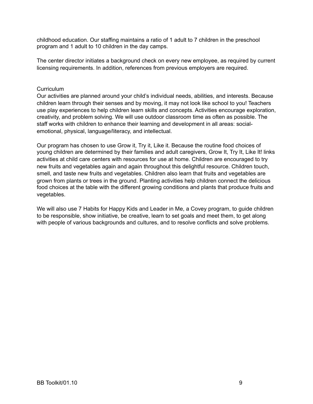childhood education. Our staffing maintains a ratio of 1 adult to 7 children in the preschool program and 1 adult to 10 children in the day camps.

The center director initiates a background check on every new employee, as required by current licensing requirements. In addition, references from previous employers are required.

# Curriculum

Our activities are planned around your child's individual needs, abilities, and interests. Because children learn through their senses and by moving, it may not look like school to you! Teachers use play experiences to help children learn skills and concepts. Activities encourage exploration, creativity, and problem solving. We will use outdoor classroom time as often as possible. The staff works with children to enhance their learning and development in all areas: socialemotional, physical, language/literacy, and intellectual.

Our program has chosen to use Grow it, Try it, Like it. Because the routine food choices of young children are determined by their families and adult caregivers, Grow It, Try It, Like It! links activities at child care centers with resources for use at home. Children are encouraged to try new fruits and vegetables again and again throughout this delightful resource. Children touch, smell, and taste new fruits and vegetables. Children also learn that fruits and vegetables are grown from plants or trees in the ground. Planting activities help children connect the delicious food choices at the table with the different growing conditions and plants that produce fruits and vegetables.

We will also use 7 Habits for Happy Kids and Leader in Me, a Covey program, to guide children to be responsible, show initiative, be creative, learn to set goals and meet them, to get along with people of various backgrounds and cultures, and to resolve conflicts and solve problems.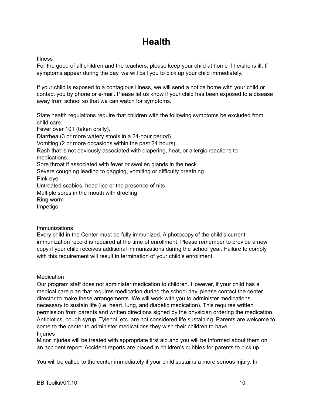# **Health**

Illness

For the good of all children and the teachers, please keep your child at home if he/she is ill. If symptoms appear during the day, we will call you to pick up your child immediately.

If your child is exposed to a contagious illness, we will send a notice home with your child or contact you by phone or e-mail. Please let us know if your child has been exposed to a disease away from school so that we can watch for symptoms.

State health regulations require that children with the following symptoms be excluded from child care.

Fever over 101 (taken orally).

Diarrhea (3 or more watery stools in a 24-hour period). Vomiting (2 or more occasions within the past 24 hours). Rash that is not obviously associated with diapering, heat, or allergic reactions to medications.

Sore throat if associated with fever or swollen glands in the neck.

Severe coughing leading to gagging, vomiting or difficulty breathing Pink eye

Untreated scabies, head lice or the presence of nits

Multiple sores in the mouth with drooling

Ring worm

Impetigo

# **Immunizations**

Every child in the Center must be fully immunized. A photocopy of the child's current immunization record is required at the time of enrollment. Please remember to provide a new copy if your child receives additional immunizations during the school year. Failure to comply with this requirement will result in termination of your child's enrollment.

# **Medication**

Our program staff does not administer medication to children. However, if your child has a medical care plan that requires medication during the school day, please contact the center director to make these arrangements. We will work with you to administer medications necessary to sustain life (i.e. heart, lung, and diabetic medication). This requires written permission from parents and written directions signed by the physician ordering the medication. Antibiotics, cough syrup, Tylenol, etc. are not considered life sustaining. Parents are welcome to come to the center to administer medications they wish their children to have. Injuries

Minor injuries will be treated with appropriate first aid and you will be informed about them on an accident report. Accident reports are placed in children's cubbies for parents to pick up.

You will be called to the center immediately if your child sustains a more serious injury. In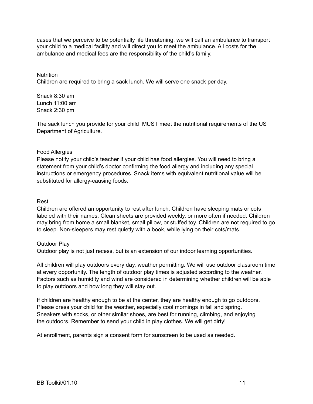cases that we perceive to be potentially life threatening, we will call an ambulance to transport your child to a medical facility and will direct you to meet the ambulance. All costs for the ambulance and medical fees are the responsibility of the child's family.

#### **Nutrition**

Children are required to bring a sack lunch. We will serve one snack per day.

Snack 8:30 am Lunch 11:00 am Snack 2:30 pm

The sack lunch you provide for your child MUST meet the nutritional requirements of the US Department of Agriculture.

# Food Allergies

Please notify your child's teacher if your child has food allergies. You will need to bring a statement from your child's doctor confirming the food allergy and including any special instructions or emergency procedures. Snack items with equivalent nutritional value will be substituted for allergy-causing foods.

#### Rest

Children are offered an opportunity to rest after lunch. Children have sleeping mats or cots labeled with their names. Clean sheets are provided weekly, or more often if needed. Children may bring from home a small blanket, small pillow, or stuffed toy. Children are not required to go to sleep. Non-sleepers may rest quietly with a book, while lying on their cots/mats.

# Outdoor Play

Outdoor play is not just recess, but is an extension of our indoor learning opportunities.

All children will play outdoors every day, weather permitting. We will use outdoor classroom time at every opportunity. The length of outdoor play times is adjusted according to the weather. Factors such as humidity and wind are considered in determining whether children will be able to play outdoors and how long they will stay out.

If children are healthy enough to be at the center, they are healthy enough to go outdoors. Please dress your child for the weather, especially cool mornings in fall and spring. Sneakers with socks, or other similar shoes, are best for running, climbing, and enjoying the outdoors. Remember to send your child in play clothes. We will get dirty!

At enrollment, parents sign a consent form for sunscreen to be used as needed.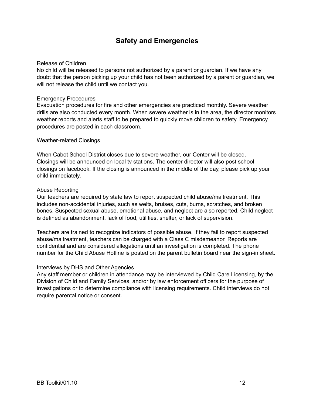# **Safety and Emergencies**

#### Release of Children

No child will be released to persons not authorized by a parent or guardian. If we have any doubt that the person picking up your child has not been authorized by a parent or guardian, we will not release the child until we contact you.

#### Emergency Procedures

Evacuation procedures for fire and other emergencies are practiced monthly. Severe weather drills are also conducted every month. When severe weather is in the area, the director monitors weather reports and alerts staff to be prepared to quickly move children to safety. Emergency procedures are posted in each classroom.

#### Weather-related Closings

When Cabot School District closes due to severe weather, our Center will be closed. Closings will be announced on local tv stations. The center director will also post school closings on facebook. If the closing is announced in the middle of the day, please pick up your child immediately.

#### Abuse Reporting

Our teachers are required by state law to report suspected child abuse/maltreatment. This includes non-accidental injuries, such as welts, bruises, cuts, burns, scratches, and broken bones. Suspected sexual abuse, emotional abuse, and neglect are also reported. Child neglect is defined as abandonment, lack of food, utilities, shelter, or lack of supervision.

Teachers are trained to recognize indicators of possible abuse. If they fail to report suspected abuse/maltreatment, teachers can be charged with a Class C misdemeanor. Reports are confidential and are considered allegations until an investigation is completed. The phone number for the Child Abuse Hotline is posted on the parent bulletin board near the sign-in sheet.

#### Interviews by DHS and Other Agencies

Any staff member or children in attendance may be interviewed by Child Care Licensing, by the Division of Child and Family Services, and/or by law enforcement officers for the purpose of investigations or to determine compliance with licensing requirements. Child interviews do not require parental notice or consent.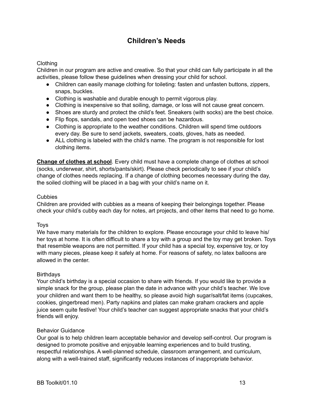# **Children's Needs**

# Clothing

Children in our program are active and creative. So that your child can fully participate in all the activities, please follow these guidelines when dressing your child for school.

- Children can easily manage clothing for toileting: fasten and unfasten buttons, zippers, snaps, buckles.
- Clothing is washable and durable enough to permit vigorous play.
- Clothing is inexpensive so that soiling, damage, or loss will not cause great concern.
- Shoes are sturdy and protect the child's feet. Sneakers (with socks) are the best choice.
- Flip flops, sandals, and open toed shoes can be hazardous.
- Clothing is appropriate to the weather conditions. Children will spend time outdoors every day. Be sure to send jackets, sweaters, coats, gloves, hats as needed.
- ALL clothing is labeled with the child's name. The program is not responsible for lost clothing items.

**Change of clothes at school**. Every child must have a complete change of clothes at school (socks, underwear, shirt, shorts/pants/skirt). Please check periodically to see if your child's change of clothes needs replacing. If a change of clothing becomes necessary during the day, the soiled clothing will be placed in a bag with your child's name on it.

# Cubbies

Children are provided with cubbies as a means of keeping their belongings together. Please check your child's cubby each day for notes, art projects, and other items that need to go home.

# Toys

We have many materials for the children to explore. Please encourage your child to leave his/ her toys at home. It is often difficult to share a toy with a group and the toy may get broken. Toys that resemble weapons are not permitted. If your child has a special toy, expensive toy, or toy with many pieces, please keep it safely at home. For reasons of safety, no latex balloons are allowed in the center.

# **Birthdays**

Your child's birthday is a special occasion to share with friends. If you would like to provide a simple snack for the group, please plan the date in advance with your child's teacher. We love your children and want them to be healthy, so please avoid high sugar/salt/fat items (cupcakes, cookies, gingerbread men). Party napkins and plates can make graham crackers and apple juice seem quite festive! Your child's teacher can suggest appropriate snacks that your child's friends will enjoy.

# Behavior Guidance

Our goal is to help children learn acceptable behavior and develop self-control. Our program is designed to promote positive and enjoyable learning experiences and to build trusting, respectful relationships. A well-planned schedule, classroom arrangement, and curriculum, along with a well-trained staff, significantly reduces instances of inappropriate behavior.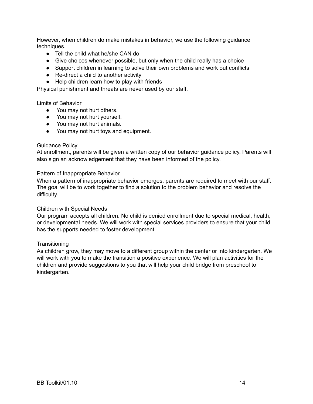However, when children do make mistakes in behavior, we use the following guidance techniques.

- Tell the child what he/she CAN do
- Give choices whenever possible, but only when the child really has a choice
- Support children in learning to solve their own problems and work out conflicts
- Re-direct a child to another activity
- Help children learn how to play with friends

Physical punishment and threats are never used by our staff.

Limits of Behavior

- You may not hurt others.
- You may not hurt yourself.
- You may not hurt animals.
- You may not hurt toys and equipment.

#### Guidance Policy

At enrollment, parents will be given a written copy of our behavior guidance policy. Parents will also sign an acknowledgement that they have been informed of the policy.

#### Pattern of Inappropriate Behavior

When a pattern of inappropriate behavior emerges, parents are required to meet with our staff. The goal will be to work together to find a solution to the problem behavior and resolve the difficulty.

#### Children with Special Needs

Our program accepts all children. No child is denied enrollment due to special medical, health, or developmental needs. We will work with special services providers to ensure that your child has the supports needed to foster development.

#### **Transitioning**

As children grow, they may move to a different group within the center or into kindergarten. We will work with you to make the transition a positive experience. We will plan activities for the children and provide suggestions to you that will help your child bridge from preschool to kindergarten.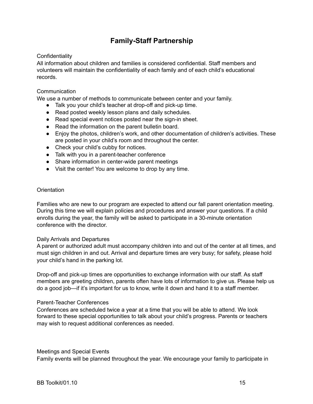# **Family-Staff Partnership**

# **Confidentiality**

All information about children and families is considered confidential. Staff members and volunteers will maintain the confidentiality of each family and of each child's educational records.

# **Communication**

We use a number of methods to communicate between center and your family.

- Talk you your child's teacher at drop-off and pick-up time.
- Read posted weekly lesson plans and daily schedules.
- Read special event notices posted near the sign-in sheet.
- Read the information on the parent bulletin board.
- Enjoy the photos, children's work, and other documentation of children's activities. These are posted in your child's room and throughout the center.
- Check your child's cubby for notices.
- Talk with you in a parent-teacher conference
- Share information in center-wide parent meetings
- Visit the center! You are welcome to drop by any time.

#### **Orientation**

Families who are new to our program are expected to attend our fall parent orientation meeting. During this time we will explain policies and procedures and answer your questions. If a child enrolls during the year, the family will be asked to participate in a 30-minute orientation conference with the director.

#### Daily Arrivals and Departures

A parent or authorized adult must accompany children into and out of the center at all times, and must sign children in and out. Arrival and departure times are very busy; for safety, please hold your child's hand in the parking lot.

Drop-off and pick-up times are opportunities to exchange information with our staff. As staff members are greeting children, parents often have lots of information to give us. Please help us do a good job—if it's important for us to know, write it down and hand it to a staff member.

#### Parent-Teacher Conferences

Conferences are scheduled twice a year at a time that you will be able to attend. We look forward to these special opportunities to talk about your child's progress. Parents or teachers may wish to request additional conferences as needed.

#### Meetings and Special Events

Family events will be planned throughout the year. We encourage your family to participate in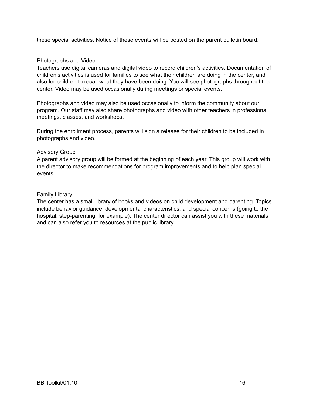these special activities. Notice of these events will be posted on the parent bulletin board.

### Photographs and Video

Teachers use digital cameras and digital video to record children's activities. Documentation of children's activities is used for families to see what their children are doing in the center, and also for children to recall what they have been doing. You will see photographs throughout the center. Video may be used occasionally during meetings or special events.

Photographs and video may also be used occasionally to inform the community about our program. Our staff may also share photographs and video with other teachers in professional meetings, classes, and workshops.

During the enrollment process, parents will sign a release for their children to be included in photographs and video.

#### Advisory Group

A parent advisory group will be formed at the beginning of each year. This group will work with the director to make recommendations for program improvements and to help plan special events.

#### Family Library

The center has a small library of books and videos on child development and parenting. Topics include behavior guidance, developmental characteristics, and special concerns (going to the hospital; step-parenting, for example). The center director can assist you with these materials and can also refer you to resources at the public library.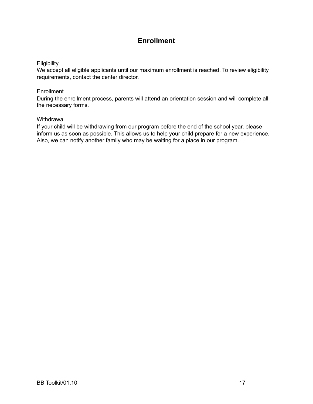# **Enrollment**

# **Eligibility**

We accept all eligible applicants until our maximum enrollment is reached. To review eligibility requirements, contact the center director.

# **Enrollment**

During the enrollment process, parents will attend an orientation session and will complete all the necessary forms.

# **Withdrawal**

If your child will be withdrawing from our program before the end of the school year, please inform us as soon as possible. This allows us to help your child prepare for a new experience. Also, we can notify another family who may be waiting for a place in our program.